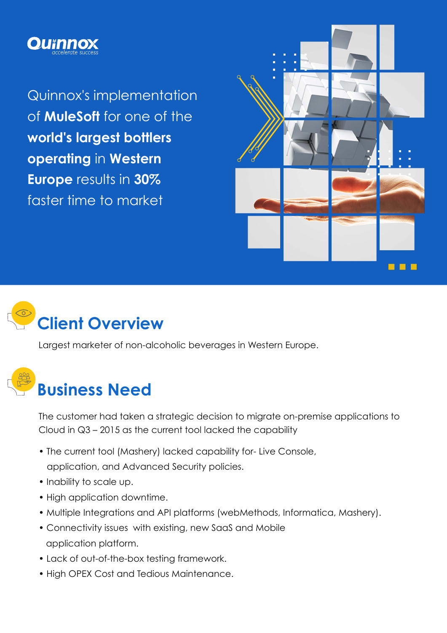

Quinnox's implementation of **MuleSoft** for one of the **world's largest bottlers operating** in **Western Europe** results in **30%** faster time to market





Largest marketer of non-alcoholic beverages in Western Europe.

# **Business Need**

The customer had taken a strategic decision to migrate on-premise applications to Cloud in Q3 – 2015 as the current tool lacked the capability

- The current tool (Mashery) lacked capability for- Live Console, application, and Advanced Security policies.
- Inability to scale up.
- High application downtime.
- Multiple Integrations and API platforms (webMethods, Informatica, Mashery).
- Connectivity issues with existing, new SaaS and Mobile application platform.
- Lack of out-of-the-box testing framework.
- High OPEX Cost and Tedious Maintenance.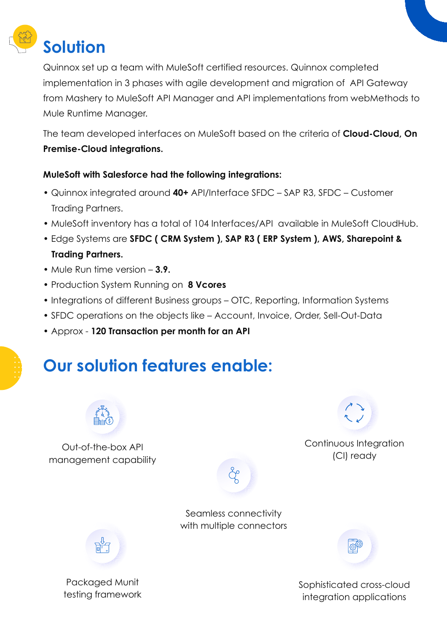

Quinnox set up a team with MuleSoft certified resources. Quinnox completed implementation in 3 phases with agile development and migration of API Gateway from Mashery to MuleSoft API Manager and API implementations from webMethods to Mule Runtime Manager.

The team developed interfaces on MuleSoft based on the criteria of **Cloud-Cloud, On Premise-Cloud integrations.**

#### **MuleSoft with Salesforce had the following integrations:**

- Quinnox integrated around **40+** API/Interface SFDC SAP R3, SFDC Customer Trading Partners.
- MuleSoft inventory has a total of 104 Interfaces/API available in MuleSoft CloudHub.
- Edge Systems are **SFDC ( CRM System ), SAP R3 ( ERP System ), AWS, Sharepoint & Trading Partners.**
- Mule Run time version **3.9.**
- Production System Running on **8 Vcores**
- Integrations of different Business groups OTC, Reporting, Information Systems
- SFDC operations on the objects like Account, Invoice, Order, Sell-Out-Data
- Approx **120 Transaction per month for an API**

## **Our solution features enable:**



Out-of-the-box API management capability



Continuous Integration (CI) ready





Sophisticated cross-cloud integration applications



Packaged Munit testing framework